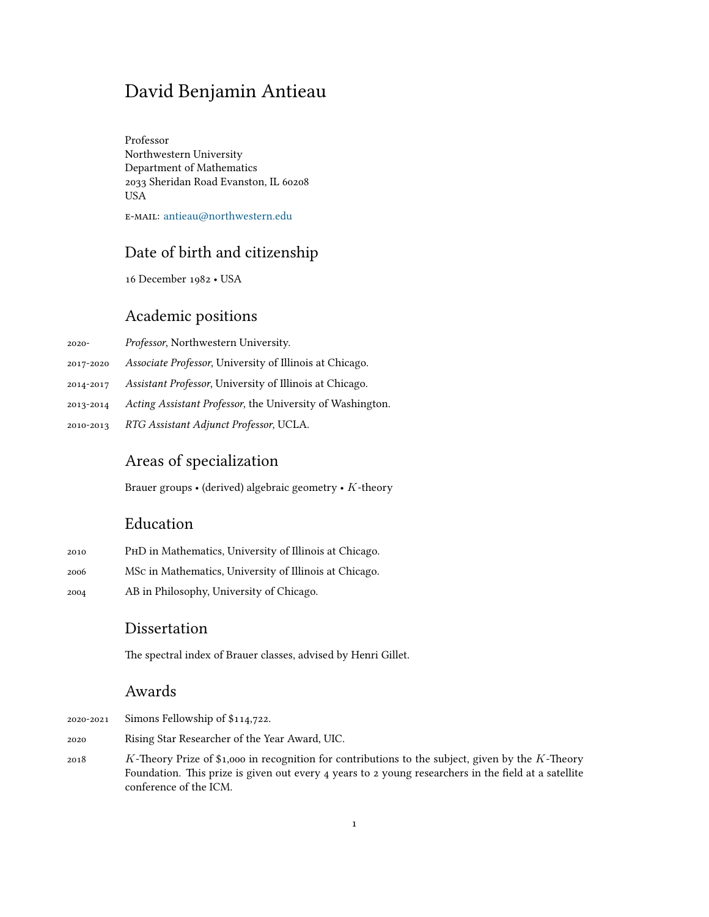# David Benjamin Antieau

Professor Northwestern University Department of Mathematics 2033 Sheridan Road Evanston, IL 60208 USA

e-mail: [antieau@northwestern.edu](mailto:antieau@northwestern.edu)

# Date of birth and citizenship

16 December 1982 • USA

# Academic positions

| 2020-     | Professor, Northwestern University.                       |
|-----------|-----------------------------------------------------------|
| 2017-2020 | Associate Professor, University of Illinois at Chicago.   |
| 2014-2017 | Assistant Professor, University of Illinois at Chicago.   |
| 2013-2014 | Acting Assistant Professor, the University of Washington. |
| 2010-2013 | RTG Assistant Adjunct Professor, UCLA.                    |

# Areas of specialization

Brauer groups • (derived) algebraic geometry • *K*-theory

# Education

- 2010 PhD in Mathematics, University of Illinois at Chicago.
- 2006 MSc in Mathematics, University of Illinois at Chicago.
- 2004 AB in Philosophy, University of Chicago.

### Dissertation

The spectral index of Brauer classes, advised by Henri Gillet.

## Awards

- 2020-2021 Simons Fellowship of \$114,722.
- 2020 Rising Star Researcher of the Year Award, UIC.
- 2018 *K*-Theory Prize of \$1,000 in recognition for contributions to the subject, given by the *K*-Theory Foundation. This prize is given out every 4 years to 2 young researchers in the field at a satellite conference of the ICM.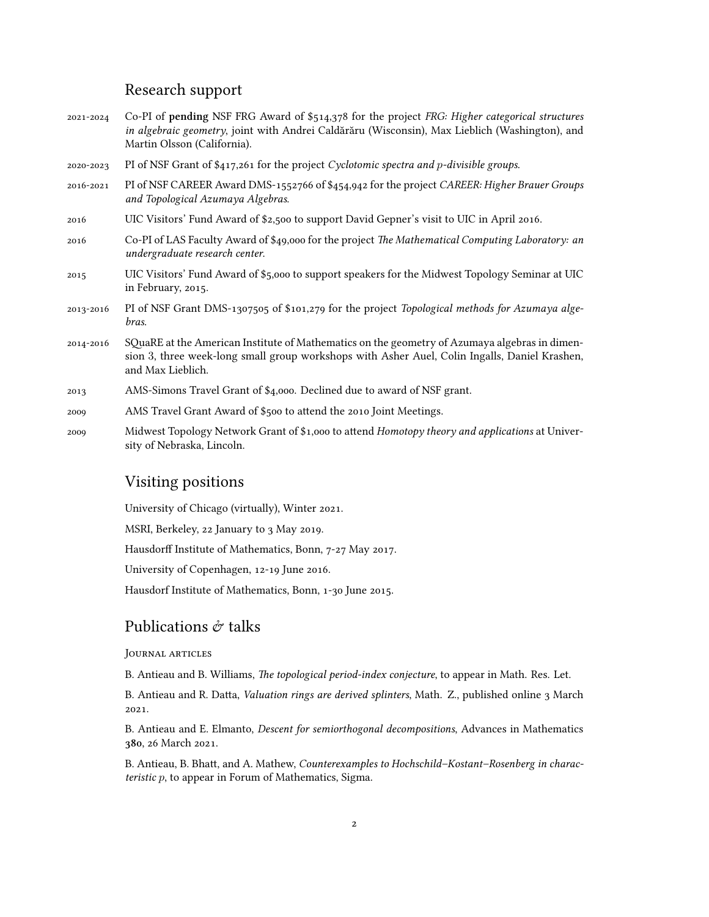### Research support

- 2021-2024 Co-PI of **pending** NSF FRG Award of \$514,378 for the project *FRG: Higher categorical structures in algebraic geometry*, joint with Andrei Caldărăru (Wisconsin), Max Lieblich (Washington), and Martin Olsson (California).
- 2020-2023 PI of NSF Grant of \$417,261 for the project *Cyclotomic spectra and p-divisible groups*.
- 2016-2021 PI of NSF CAREER Award DMS-1552766 of \$454,942 for the project *CAREER: Higher Brauer Groups and Topological Azumaya Algebras*.
- 2016 UIC Visitors' Fund Award of \$2,500 to support David Gepner's visit to UIC in April 2016.
- 2016 Co-PI of LAS Faculty Award of \$49,000 for the project *The Mathematical Computing Laboratory: an undergraduate research center*.
- 2015 UIC Visitors' Fund Award of \$5,000 to support speakers for the Midwest Topology Seminar at UIC in February, 2015.
- 2013-2016 PI of NSF Grant DMS-1307505 of \$101,279 for the project *Topological methods for Azumaya algebras*.
- 2014-2016 SQuaRE at the American Institute of Mathematics on the geometry of Azumaya algebras in dimension 3, three week-long small group workshops with Asher Auel, Colin Ingalls, Daniel Krashen, and Max Lieblich.
- 2013 AMS-Simons Travel Grant of \$4,000. Declined due to award of NSF grant.
- 2009 AMS Travel Grant Award of \$500 to attend the 2010 Joint Meetings.
- 2009 Midwest Topology Network Grant of \$1,000 to attend *Homotopy theory and applications* at University of Nebraska, Lincoln.

### Visiting positions

University of Chicago (virtually), Winter 2021.

MSRI, Berkeley, 22 January to 3 May 2019.

Hausdorff Institute of Mathematics, Bonn, 7-27 May 2017.

University of Copenhagen, 12-19 June 2016.

Hausdorf Institute of Mathematics, Bonn, 1-30 June 2015.

## Publications  $\mathcal O$  talks

Journal articles

B. Antieau and B. Williams, *The topological period-index conjecture*, to appear in Math. Res. Let.

B. Antieau and R. Datta, *Valuation rings are derived splinters*, Math. Z., published online 3 March 2021.

B. Antieau and E. Elmanto, *Descent for semiorthogonal decompositions*, Advances in Mathematics **380**, 26 March 2021.

B. Antieau, B. Bhatt, and A. Mathew, *Counterexamples to Hochschild–Kostant–Rosenberg in characteristic p*, to appear in Forum of Mathematics, Sigma.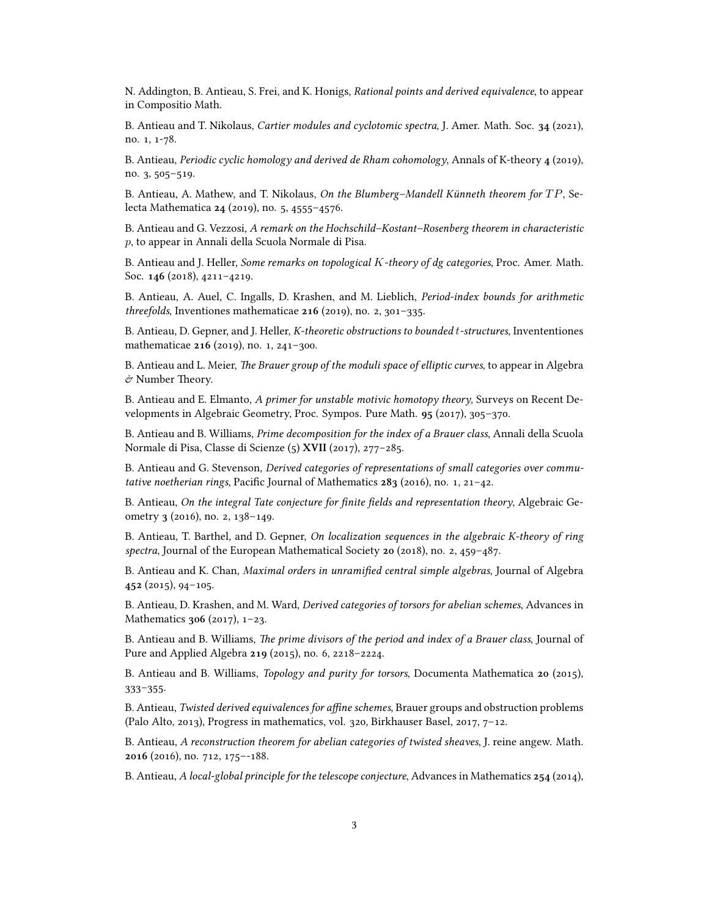N. Addington, B. Antieau, S. Frei, and K. Honigs, *Rational points and derived equivalence*, to appear in Compositio Math.

B. Antieau and T. Nikolaus, *Cartier modules and cyclotomic spectra*, J. Amer. Math. Soc. **34** (2021), no. 1, 1-78.

B. Antieau, *Periodic cyclic homology and derived de Rham cohomology*, Annals of K-theory **4** (2019), no. 3, 505–519.

B. Antieau, A. Mathew, and T. Nikolaus, *On the Blumberg–Mandell Künneth theorem for T P*, Selecta Mathematica **24** (2019), no. 5, 4555–4576.

B. Antieau and G. Vezzosi, *A remark on the Hochschild–Kostant–Rosenberg theorem in characteristic p*, to appear in Annali della Scuola Normale di Pisa.

B. Antieau and J. Heller, *Some remarks on topological K-theory of dg categories*, Proc. Amer. Math. Soc. **146** (2018), 4211–4219.

B. Antieau, A. Auel, C. Ingalls, D. Krashen, and M. Lieblich, *Period-index bounds for arithmetic threefolds*, Inventiones mathematicae **216** (2019), no. 2, 301–335.

B. Antieau, D. Gepner, and J. Heller, *K-theoretic obstructions to bounded t-structures*, Invententiones mathematicae **216** (2019), no. 1, 241–300.

B. Antieau and L. Meier, *The Brauer group of the moduli space of elliptic curves*, to appear in Algebra & Number Theory.

B. Antieau and E. Elmanto, *A primer for unstable motivic homotopy theory*, Surveys on Recent Developments in Algebraic Geometry, Proc. Sympos. Pure Math. **95** (2017), 305–370.

B. Antieau and B. Williams, *Prime decomposition for the index of a Brauer class*, Annali della Scuola Normale di Pisa, Classe di Scienze (5) **XVII** (2017), 277–285.

B. Antieau and G. Stevenson, *Derived categories of representations of small categories over commutative noetherian rings*, Pacific Journal of Mathematics **283** (2016), no. 1, 21–42.

B. Antieau, *On the integral Tate conjecture for finite fields and representation theory*, Algebraic Geometry **3** (2016), no. 2, 138–149.

B. Antieau, T. Barthel, and D. Gepner, *On localization sequences in the algebraic K-theory of ring spectra*, Journal of the European Mathematical Society **20** (2018), no. 2, 459–487.

B. Antieau and K. Chan, *Maximal orders in unramified central simple algebras*, Journal of Algebra **452** (2015), 94–105.

B. Antieau, D. Krashen, and M. Ward, *Derived categories of torsors for abelian schemes*, Advances in Mathematics **306** (2017), 1–23.

B. Antieau and B. Williams, *The prime divisors of the period and index of a Brauer class*, Journal of Pure and Applied Algebra **219** (2015), no. 6, 2218–2224.

B. Antieau and B. Williams, *Topology and purity for torsors*, Documenta Mathematica **20** (2015), 333–355.

B. Antieau, *Twisted derived equivalences for affine schemes*, Brauer groups and obstruction problems (Palo Alto, 2013), Progress in mathematics, vol. 320, Birkhauser Basel, 2017, 7–12.

B. Antieau, *A reconstruction theorem for abelian categories of twisted sheaves*, J. reine angew. Math. **2016** (2016), no. 712, 175–-188.

B. Antieau, *A local-global principle for the telescope conjecture*, Advances in Mathematics **254** (2014),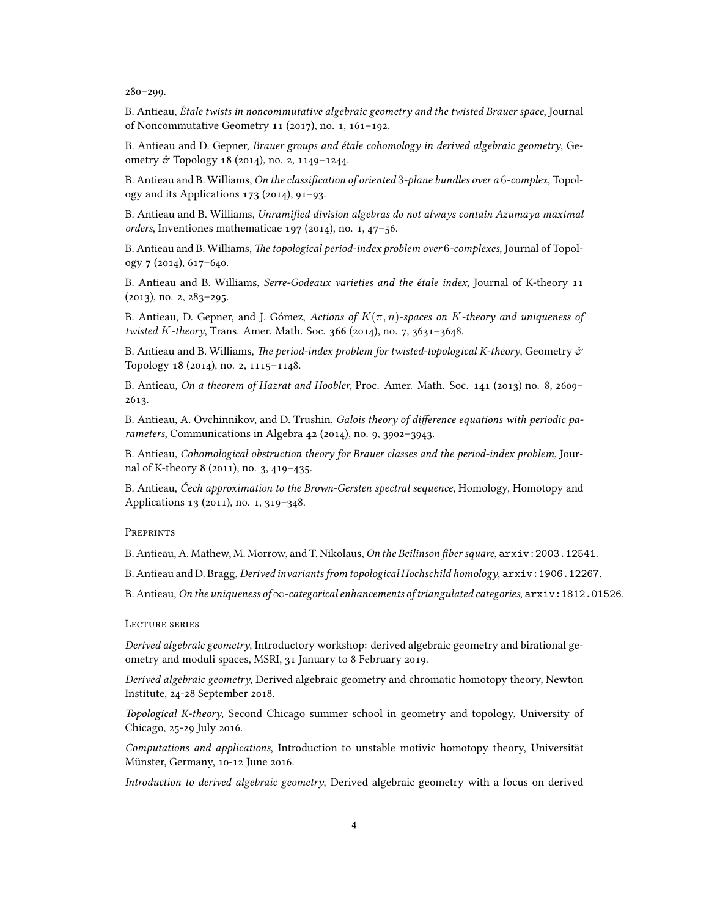280–299.

B. Antieau, *Étale twists in noncommutative algebraic geometry and the twisted Brauer space*, Journal of Noncommutative Geometry **11** (2017), no. 1, 161–192.

B. Antieau and D. Gepner, *Brauer groups and étale cohomology in derived algebraic geometry*, Geometry & Topology **18** (2014), no. 2, 1149–1244.

B. Antieau and B. Williams, *On the classification of oriented* 3*-plane bundles over a* 6*-complex*, Topology and its Applications **173** (2014), 91–93.

B. Antieau and B. Williams, *Unramified division algebras do not always contain Azumaya maximal orders*, Inventiones mathematicae **197** (2014), no. 1, 47–56.

B. Antieau and B. Williams, *The topological period-index problem over* 6*-complexes*, Journal of Topology **7** (2014), 617–640.

B. Antieau and B. Williams, *Serre-Godeaux varieties and the étale index*, Journal of K-theory **11**  $(2013)$ , no. 2,  $283-295$ .

B. Antieau, D. Gepner, and J. Gómez, *Actions of K*(*π, n*)*-spaces on K-theory and uniqueness of twisted K-theory*, Trans. Amer. Math. Soc. **366** (2014), no. 7, 3631–3648.

B. Antieau and B. Williams, *The period-index problem for twisted-topological K-theory*, Geometry  $\acute{\sigma}$ Topology **18** (2014), no. 2, 1115–1148.

B. Antieau, *On a theorem of Hazrat and Hoobler*, Proc. Amer. Math. Soc. **141** (2013) no. 8, 2609– 2613.

B. Antieau, A. Ovchinnikov, and D. Trushin, *Galois theory of difference equations with periodic parameters*, Communications in Algebra **42** (2014), no. 9, 3902–3943.

B. Antieau, *Cohomological obstruction theory for Brauer classes and the period-index problem*, Journal of K-theory **8** (2011), no. 3, 419–435.

B. Antieau, *Čech approximation to the Brown-Gersten spectral sequence*, Homology, Homotopy and Applications **13** (2011), no. 1, 319–348.

#### **PREPRINTS**

B. Antieau, A. Mathew, M. Morrow, and T. Nikolaus, *On the Beilinson fiber square*, arxiv:2003.12541.

B. Antieau and D. Bragg, *Derived invariants from topological Hochschild homology*, arxiv:1906.12267.

B. Antieau, *On the uniqueness of ∞-categorical enhancements of triangulated categories*, arxiv:1812.01526.

#### Lecture series

*Derived algebraic geometry*, Introductory workshop: derived algebraic geometry and birational geometry and moduli spaces, MSRI, 31 January to 8 February 2019.

*Derived algebraic geometry*, Derived algebraic geometry and chromatic homotopy theory, Newton Institute, 24-28 September 2018.

*Topological K-theory*, Second Chicago summer school in geometry and topology, University of Chicago, 25-29 July 2016.

*Computations and applications*, Introduction to unstable motivic homotopy theory, Universität Münster, Germany, 10-12 June 2016.

*Introduction to derived algebraic geometry*, Derived algebraic geometry with a focus on derived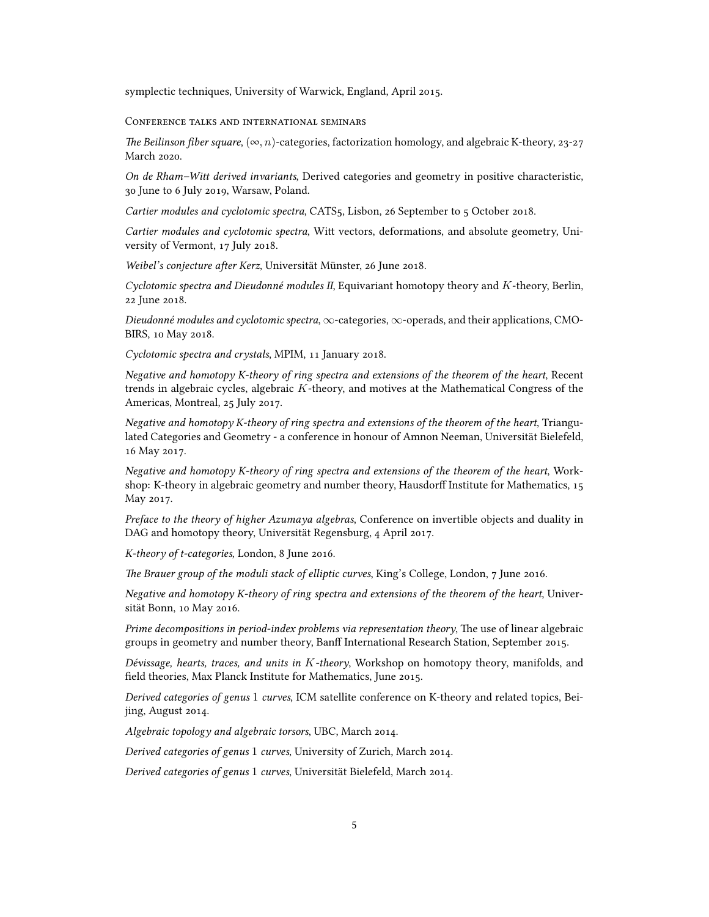symplectic techniques, University of Warwick, England, April 2015.

Conference talks and international seminars

*The Beilinson fiber square*,  $(\infty, n)$ -categories, factorization homology, and algebraic K-theory, 23-27 March 2020.

*On de Rham–Witt derived invariants*, Derived categories and geometry in positive characteristic, 30 June to 6 July 2019, Warsaw, Poland.

*Cartier modules and cyclotomic spectra*, CATS5, Lisbon, 26 September to 5 October 2018.

*Cartier modules and cyclotomic spectra*, Witt vectors, deformations, and absolute geometry, University of Vermont, 17 July 2018.

*Weibel's conjecture after Kerz*, Universität Münster, 26 June 2018.

*Cyclotomic spectra and Dieudonné modules II*, Equivariant homotopy theory and *K*-theory, Berlin, 22 June 2018.

*Dieudonné modules and cyclotomic spectra*, *∞*-categories, *∞*-operads, and their applications, CMO-BIRS, 10 May 2018.

*Cyclotomic spectra and crystals*, MPIM, 11 January 2018.

*Negative and homotopy K-theory of ring spectra and extensions of the theorem of the heart*, Recent trends in algebraic cycles, algebraic *K*-theory, and motives at the Mathematical Congress of the Americas, Montreal, 25 July 2017.

*Negative and homotopy K-theory of ring spectra and extensions of the theorem of the heart*, Triangulated Categories and Geometry - a conference in honour of Amnon Neeman, Universität Bielefeld, 16 May 2017.

*Negative and homotopy K-theory of ring spectra and extensions of the theorem of the heart*, Workshop: K-theory in algebraic geometry and number theory, Hausdorff Institute for Mathematics, 15 May 2017.

*Preface to the theory of higher Azumaya algebras*, Conference on invertible objects and duality in DAG and homotopy theory, Universität Regensburg, 4 April 2017.

*K-theory of t-categories*, London, 8 June 2016.

*The Brauer group of the moduli stack of elliptic curves*, King's College, London, 7 June 2016.

*Negative and homotopy K-theory of ring spectra and extensions of the theorem of the heart*, Universität Bonn, 10 May 2016.

*Prime decompositions in period-index problems via representation theory*, The use of linear algebraic groups in geometry and number theory, Banff International Research Station, September 2015.

*Dévissage, hearts, traces, and units in K-theory*, Workshop on homotopy theory, manifolds, and field theories, Max Planck Institute for Mathematics, June 2015.

*Derived categories of genus* 1 *curves*, ICM satellite conference on K-theory and related topics, Beijing, August 2014.

*Algebraic topology and algebraic torsors*, UBC, March 2014.

*Derived categories of genus* 1 *curves*, University of Zurich, March 2014.

*Derived categories of genus* 1 *curves*, Universität Bielefeld, March 2014.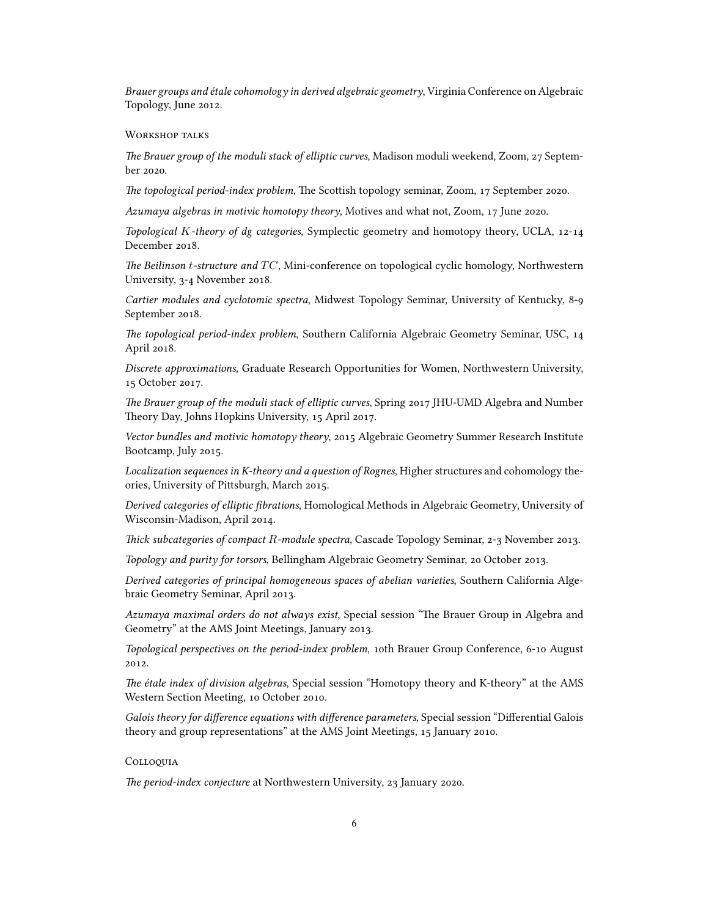*Brauer groups and étale cohomology in derived algebraic geometry*, Virginia Conference on Algebraic Topology, June 2012.

#### Workshop talks

*The Brauer group of the moduli stack of elliptic curves*, Madison moduli weekend, Zoom, 27 September 2020.

*The topological period-index problem*, The Scottish topology seminar, Zoom, 17 September 2020.

*Azumaya algebras in motivic homotopy theory*, Motives and what not, Zoom, 17 June 2020.

*Topological K-theory of dg categories*, Symplectic geometry and homotopy theory, UCLA, 12-14 December 2018.

*The Beilinson t-structure and T C*, Mini-conference on topological cyclic homology, Northwestern University, 3-4 November 2018.

*Cartier modules and cyclotomic spectra*, Midwest Topology Seminar, University of Kentucky, 8-9 September 2018.

*The topological period-index problem*, Southern California Algebraic Geometry Seminar, USC, 14 April 2018.

*Discrete approximations*, Graduate Research Opportunities for Women, Northwestern University, 15 October 2017.

*The Brauer group of the moduli stack of elliptic curves*, Spring 2017 JHU-UMD Algebra and Number Theory Day, Johns Hopkins University, 15 April 2017.

*Vector bundles and motivic homotopy theory*, 2015 Algebraic Geometry Summer Research Institute Bootcamp, July 2015.

*Localization sequences in K-theory and a question of Rognes*, Higher structures and cohomology theories, University of Pittsburgh, March 2015.

*Derived categories of elliptic fibrations*, Homological Methods in Algebraic Geometry, University of Wisconsin-Madison, April 2014.

*Thick subcategories of compact R-module spectra*, Cascade Topology Seminar, 2-3 November 2013.

*Topology and purity for torsors*, Bellingham Algebraic Geometry Seminar, 20 October 2013.

*Derived categories of principal homogeneous spaces of abelian varieties*, Southern California Algebraic Geometry Seminar, April 2013.

*Azumaya maximal orders do not always exist*, Special session "The Brauer Group in Algebra and Geometry" at the AMS Joint Meetings, January 2013.

*Topological perspectives on the period-index problem*, 10th Brauer Group Conference, 6-10 August 2012.

*The étale index of division algebras*, Special session "Homotopy theory and K-theory" at the AMS Western Section Meeting, 10 October 2010.

*Galois theory for difference equations with difference parameters*, Special session "Differential Galois theory and group representations" at the AMS Joint Meetings, 15 January 2010.

#### Colloquia

*The period-index conjecture* at Northwestern University, 23 January 2020.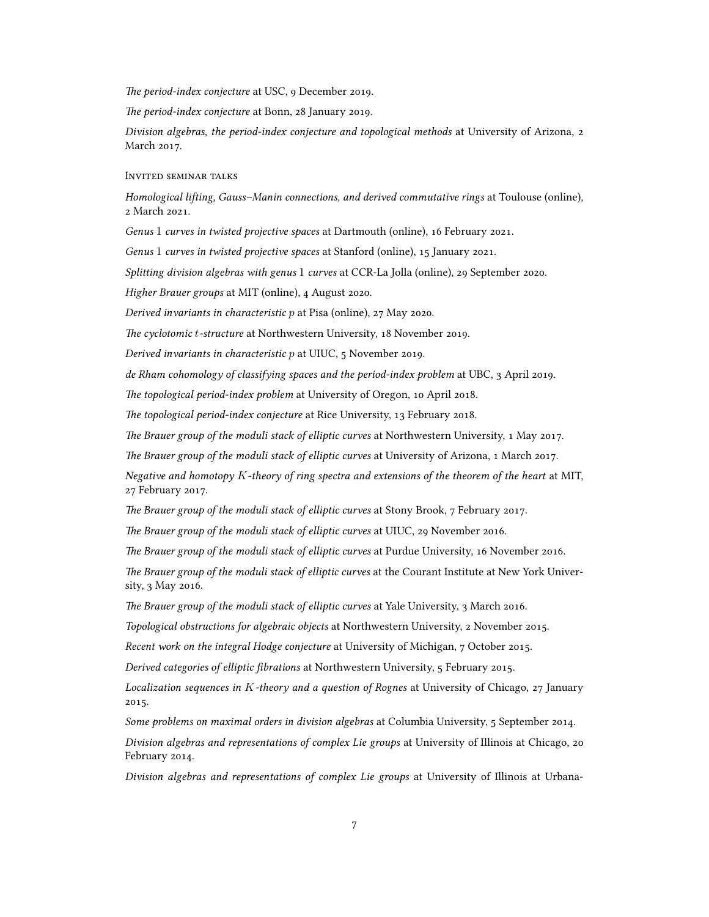*The period-index conjecture* at USC, 9 December 2019.

*The period-index conjecture* at Bonn, 28 January 2019.

*Division algebras, the period-index conjecture and topological methods* at University of Arizona, 2 March 2017.

Invited seminar talks

*Homological lifting, Gauss–Manin connections, and derived commutative rings* at Toulouse (online), 2 March 2021.

*Genus* 1 *curves in twisted projective spaces* at Dartmouth (online), 16 February 2021.

*Genus* 1 *curves in twisted projective spaces* at Stanford (online), 15 January 2021.

*Splitting division algebras with genus* 1 *curves* at CCR-La Jolla (online), 29 September 2020.

*Higher Brauer groups* at MIT (online), 4 August 2020.

*Derived invariants in characteristic p* at Pisa (online), 27 May 2020.

*The cyclotomic t-structure* at Northwestern University, 18 November 2019.

*Derived invariants in characteristic p* at UIUC, 5 November 2019.

*de Rham cohomology of classifying spaces and the period-index problem* at UBC, 3 April 2019.

*The topological period-index problem* at University of Oregon, 10 April 2018.

*The topological period-index conjecture* at Rice University, 13 February 2018.

*The Brauer group of the moduli stack of elliptic curves* at Northwestern University, 1 May 2017.

*The Brauer group of the moduli stack of elliptic curves* at University of Arizona, 1 March 2017.

*Negative and homotopy K-theory of ring spectra and extensions of the theorem of the heart* at MIT, 27 February 2017.

*The Brauer group of the moduli stack of elliptic curves* at Stony Brook, 7 February 2017.

*The Brauer group of the moduli stack of elliptic curves* at UIUC, 29 November 2016.

*The Brauer group of the moduli stack of elliptic curves* at Purdue University, 16 November 2016.

*The Brauer group of the moduli stack of elliptic curves* at the Courant Institute at New York University, 3 May 2016.

*The Brauer group of the moduli stack of elliptic curves* at Yale University, 3 March 2016.

*Topological obstructions for algebraic objects* at Northwestern University, 2 November 2015.

*Recent work on the integral Hodge conjecture* at University of Michigan, 7 October 2015.

*Derived categories of elliptic fibrations* at Northwestern University, 5 February 2015.

*Localization sequences in K-theory and a question of Rognes* at University of Chicago, 27 January 2015.

*Some problems on maximal orders in division algebras* at Columbia University, 5 September 2014.

*Division algebras and representations of complex Lie groups* at University of Illinois at Chicago, 20 February 2014.

*Division algebras and representations of complex Lie groups* at University of Illinois at Urbana-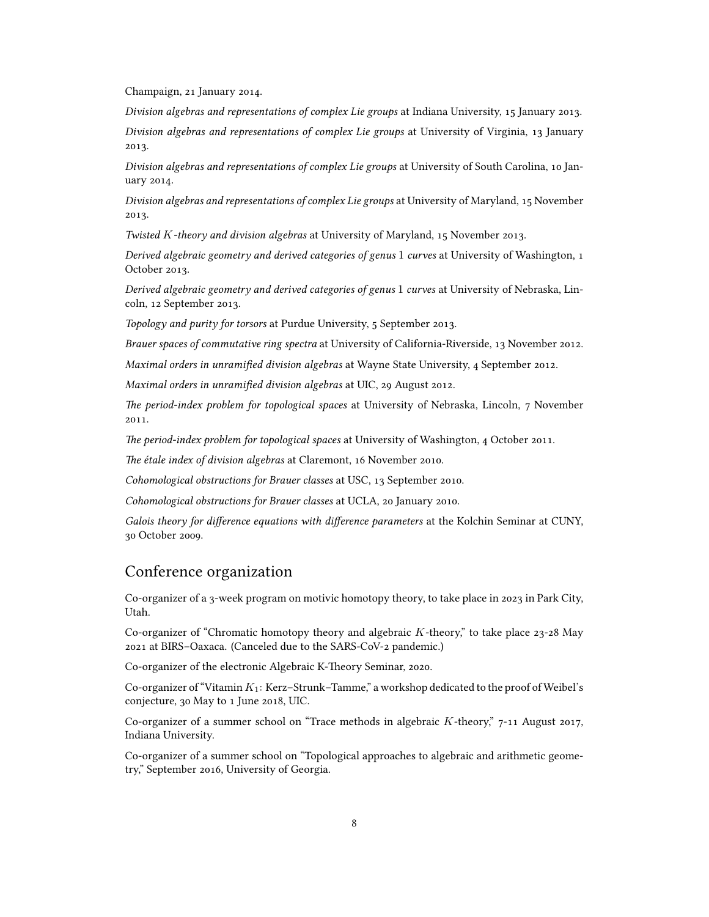Champaign, 21 January 2014.

*Division algebras and representations of complex Lie groups* at Indiana University, 15 January 2013.

*Division algebras and representations of complex Lie groups* at University of Virginia, 13 January 2013.

*Division algebras and representations of complex Lie groups* at University of South Carolina, 10 January 2014.

*Division algebras and representations of complex Lie groups* at University of Maryland, 15 November 2013.

*Twisted K-theory and division algebras* at University of Maryland, 15 November 2013.

*Derived algebraic geometry and derived categories of genus* 1 *curves* at University of Washington, 1 October 2013.

*Derived algebraic geometry and derived categories of genus* 1 *curves* at University of Nebraska, Lincoln, 12 September 2013.

*Topology and purity for torsors* at Purdue University, 5 September 2013.

*Brauer spaces of commutative ring spectra* at University of California-Riverside, 13 November 2012.

*Maximal orders in unramified division algebras* at Wayne State University, 4 September 2012.

*Maximal orders in unramified division algebras* at UIC, 29 August 2012.

*The period-index problem for topological spaces* at University of Nebraska, Lincoln, 7 November 2011.

*The period-index problem for topological spaces* at University of Washington, 4 October 2011.

*The étale index of division algebras* at Claremont, 16 November 2010.

*Cohomological obstructions for Brauer classes* at USC, 13 September 2010.

*Cohomological obstructions for Brauer classes* at UCLA, 20 January 2010.

*Galois theory for difference equations with difference parameters* at the Kolchin Seminar at CUNY, 30 October 2009.

## Conference organization

Co-organizer of a 3-week program on motivic homotopy theory, to take place in 2023 in Park City, Utah.

Co-organizer of "Chromatic homotopy theory and algebraic *K*-theory," to take place 23-28 May 2021 at BIRS–Oaxaca. (Canceled due to the SARS-CoV-2 pandemic.)

Co-organizer of the electronic Algebraic K-Theory Seminar, 2020.

Co-organizer of "Vitamin *K*1: Kerz–Strunk–Tamme," a workshop dedicated to the proof of Weibel's conjecture, 30 May to 1 June 2018, UIC.

Co-organizer of a summer school on "Trace methods in algebraic *K*-theory," 7-11 August 2017, Indiana University.

Co-organizer of a summer school on "Topological approaches to algebraic and arithmetic geometry," September 2016, University of Georgia.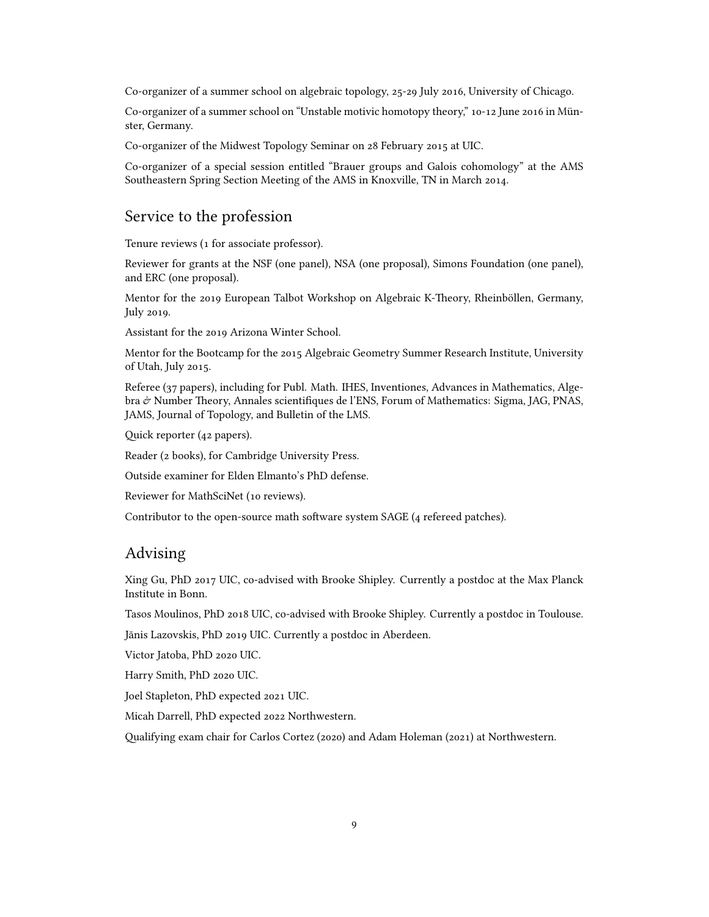Co-organizer of a summer school on algebraic topology, 25-29 July 2016, University of Chicago.

Co-organizer of a summer school on "Unstable motivic homotopy theory," 10-12 June 2016 in Münster, Germany.

Co-organizer of the Midwest Topology Seminar on 28 February 2015 at UIC.

Co-organizer of a special session entitled "Brauer groups and Galois cohomology" at the AMS Southeastern Spring Section Meeting of the AMS in Knoxville, TN in March 2014.

### Service to the profession

Tenure reviews (1 for associate professor).

Reviewer for grants at the NSF (one panel), NSA (one proposal), Simons Foundation (one panel), and ERC (one proposal).

Mentor for the 2019 European Talbot Workshop on Algebraic K-Theory, Rheinböllen, Germany, July 2019.

Assistant for the 2019 Arizona Winter School.

Mentor for the Bootcamp for the 2015 Algebraic Geometry Summer Research Institute, University of Utah, July 2015.

Referee (37 papers), including for Publ. Math. IHES, Inventiones, Advances in Mathematics, Algebra & Number Theory, Annales scientifiques de l'ENS, Forum of Mathematics: Sigma, JAG, PNAS, JAMS, Journal of Topology, and Bulletin of the LMS.

Quick reporter (42 papers).

Reader (2 books), for Cambridge University Press.

Outside examiner for Elden Elmanto's PhD defense.

Reviewer for MathSciNet (10 reviews).

Contributor to the open-source math software system SAGE (4 refereed patches).

## Advising

Xing Gu, PhD 2017 UIC, co-advised with Brooke Shipley. Currently a postdoc at the Max Planck Institute in Bonn.

Tasos Moulinos, PhD 2018 UIC, co-advised with Brooke Shipley. Currently a postdoc in Toulouse.

Jānis Lazovskis, PhD 2019 UIC. Currently a postdoc in Aberdeen.

Victor Jatoba, PhD 2020 UIC.

Harry Smith, PhD 2020 UIC.

Joel Stapleton, PhD expected 2021 UIC.

Micah Darrell, PhD expected 2022 Northwestern.

Qualifying exam chair for Carlos Cortez (2020) and Adam Holeman (2021) at Northwestern.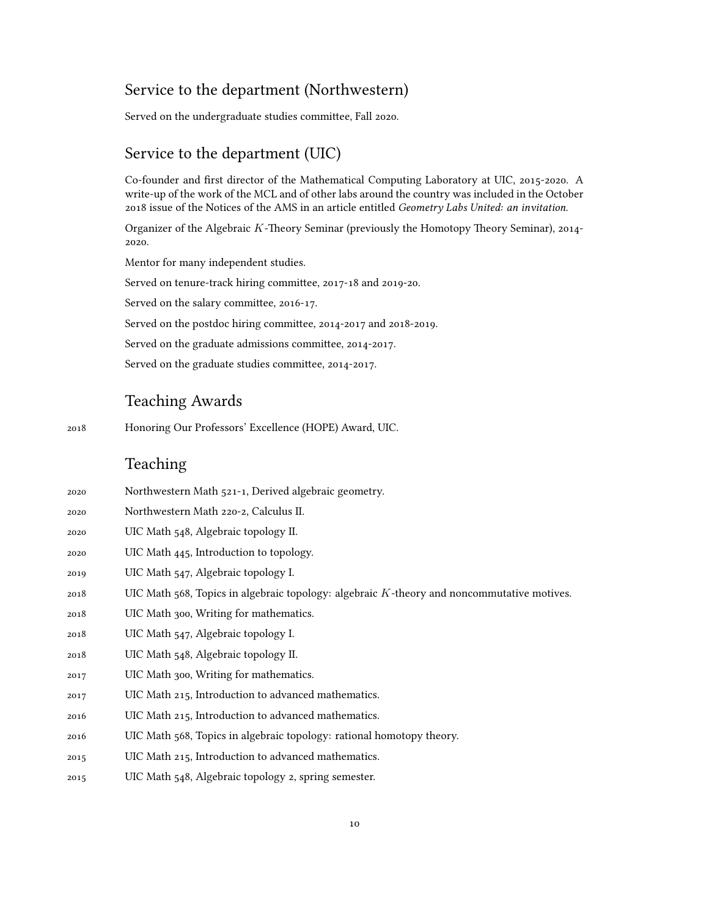## Service to the department (Northwestern)

Served on the undergraduate studies committee, Fall 2020.

## Service to the department (UIC)

Co-founder and first director of the Mathematical Computing Laboratory at UIC, 2015-2020. A write-up of the work of the MCL and of other labs around the country was included in the October 2018 issue of the Notices of the AMS in an article entitled *Geometry Labs United: an invitation*.

Organizer of the Algebraic *K*-Theory Seminar (previously the Homotopy Theory Seminar), 2014- 2020.

Mentor for many independent studies. Served on tenure-track hiring committee, 2017-18 and 2019-20. Served on the salary committee, 2016-17. Served on the postdoc hiring committee, 2014-2017 and 2018-2019. Served on the graduate admissions committee, 2014-2017.

Served on the graduate studies committee, 2014-2017.

## Teaching Awards

2018 Honoring Our Professors' Excellence (HOPE) Award, UIC.

## Teaching

- 2020 Northwestern Math 521-1, Derived algebraic geometry.
- 2020 Northwestern Math 220-2, Calculus II.
- 2020 UIC Math 548, Algebraic topology II.
- 2020 UIC Math 445, Introduction to topology.
- 2019 UIC Math 547, Algebraic topology I.
- 2018 UIC Math 568, Topics in algebraic topology: algebraic *K*-theory and noncommutative motives.
- 2018 UIC Math 300, Writing for mathematics.
- 2018 UIC Math 547, Algebraic topology I.
- 2018 UIC Math 548, Algebraic topology II.
- 2017 UIC Math 300, Writing for mathematics.
- 2017 UIC Math 215, Introduction to advanced mathematics.
- 2016 UIC Math 215, Introduction to advanced mathematics.
- 2016 UIC Math 568, Topics in algebraic topology: rational homotopy theory.
- 2015 UIC Math 215, Introduction to advanced mathematics.
- 2015 UIC Math 548, Algebraic topology 2, spring semester.